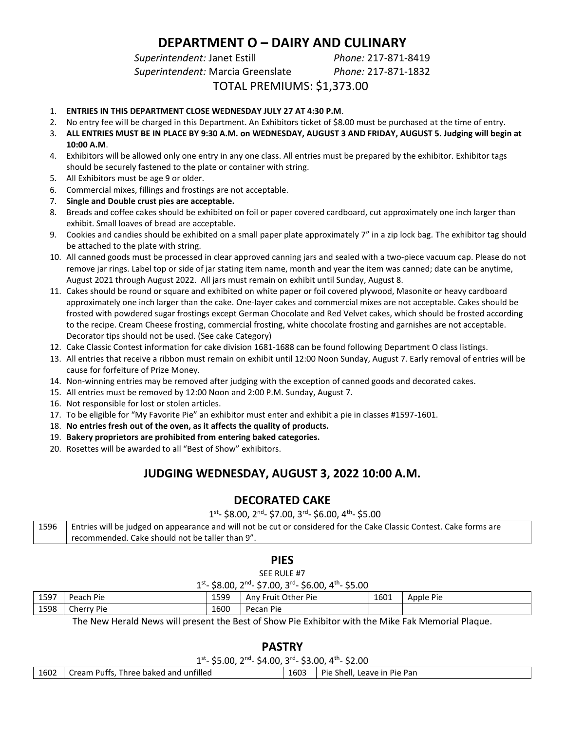# **DEPARTMENT O – DAIRY AND CULINARY**

*Superintendent:* Janet Estill *Phone:* 217-871-8419

*Superintendent:* Marcia Greenslate *Phone:* 217-871-1832

TOTAL PREMIUMS: \$1,373.00

- 1. **ENTRIES IN THIS DEPARTMENT CLOSE WEDNESDAY JULY 27 AT 4:30 P.M**.
- 2. No entry fee will be charged in this Department. An Exhibitors ticket of \$8.00 must be purchased at the time of entry.
- 3. **ALL ENTRIES MUST BE IN PLACE BY 9:30 A.M. on WEDNESDAY, AUGUST 3 AND FRIDAY, AUGUST 5. Judging will begin at 10:00 A.M**.
- 4. Exhibitors will be allowed only one entry in any one class. All entries must be prepared by the exhibitor. Exhibitor tags should be securely fastened to the plate or container with string.
- 5. All Exhibitors must be age 9 or older.
- 6. Commercial mixes, fillings and frostings are not acceptable.
- 7. **Single and Double crust pies are acceptable.**
- 8. Breads and coffee cakes should be exhibited on foil or paper covered cardboard, cut approximately one inch larger than exhibit. Small loaves of bread are acceptable.
- 9. Cookies and candies should be exhibited on a small paper plate approximately 7" in a zip lock bag. The exhibitor tag should be attached to the plate with string.
- 10. All canned goods must be processed in clear approved canning jars and sealed with a two-piece vacuum cap. Please do not remove jar rings. Label top or side of jar stating item name, month and year the item was canned; date can be anytime, August 2021 through August 2022. All jars must remain on exhibit until Sunday, August 8.
- 11. Cakes should be round or square and exhibited on white paper or foil covered plywood, Masonite or heavy cardboard approximately one inch larger than the cake. One-layer cakes and commercial mixes are not acceptable. Cakes should be frosted with powdered sugar frostings except German Chocolate and Red Velvet cakes, which should be frosted according to the recipe. Cream Cheese frosting, commercial frosting, white chocolate frosting and garnishes are not acceptable. Decorator tips should not be used. (See cake Category)
- 12. Cake Classic Contest information for cake division 1681-1688 can be found following Department O class listings.
- 13. All entries that receive a ribbon must remain on exhibit until 12:00 Noon Sunday, August 7. Early removal of entries will be cause for forfeiture of Prize Money.
- 14. Non-winning entries may be removed after judging with the exception of canned goods and decorated cakes.
- 15. All entries must be removed by 12:00 Noon and 2:00 P.M. Sunday, August 7.
- 16. Not responsible for lost or stolen articles.
- 17. To be eligible for "My Favorite Pie" an exhibitor must enter and exhibit a pie in classes #1597-1601.
- 18. **No entries fresh out of the oven, as it affects the quality of products.**
- 19. **Bakery proprietors are prohibited from entering baked categories.**
- 20. Rosettes will be awarded to all "Best of Show" exhibitors.

## **JUDGING WEDNESDAY, AUGUST 3, 2022 10:00 A.M.**

## **DECORATED CAKE**

 $1^{\text{st}}$ - \$8.00, 2<sup>nd</sup>- \$7.00, 3<sup>rd</sup>- \$6.00, 4<sup>th</sup>- \$5.00

| 1596 | Entries will be judged on appearance and will not be cut or considered for the Cake Classic Contest. Cake forms are |
|------|---------------------------------------------------------------------------------------------------------------------|
|      | recommended. Cake should not be taller than 9".                                                                     |

#### **PIES**

SEE RULE #7

| 1st <sub>-</sub> \$8.00, 2 <sup>nd</sup> - \$7.00, 3 <sup>rd</sup> - \$6.00, 4 <sup>th</sup> - \$5.00 |  |  |  |  |
|-------------------------------------------------------------------------------------------------------|--|--|--|--|
|-------------------------------------------------------------------------------------------------------|--|--|--|--|

| 1597 | Peach Pie     | 1599 | Fruit Other Pie<br>Anv i | 1601 | Apple Pie |  |
|------|---------------|------|--------------------------|------|-----------|--|
| 1598 | Cherry<br>Pie | 1600 | Pie<br>Pecan             |      |           |  |

The New Herald News will present the Best of Show Pie Exhibitor with the Mike Fak Memorial Plaque.

**PASTRY**

|      | PASIKY                                                                     |      |                             |  |  |  |  |  |
|------|----------------------------------------------------------------------------|------|-----------------------------|--|--|--|--|--|
|      | $1^{st}$ - \$5.00, $2^{nd}$ - \$4.00, $3^{rd}$ - \$3.00, $4^{th}$ - \$2.00 |      |                             |  |  |  |  |  |
| 1602 | Cream Puffs, Three baked and unfilled                                      | 1603 | Pie Shell, Leave in Pie Pan |  |  |  |  |  |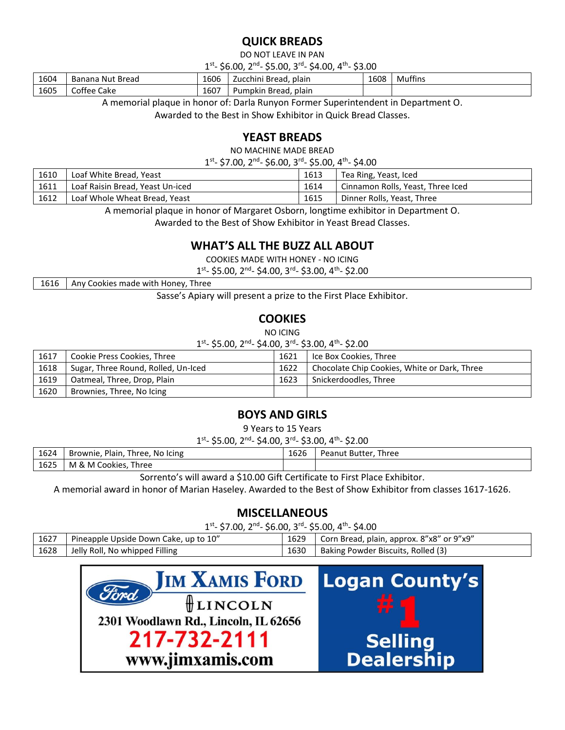# **QUICK BREADS**

DO NOT LEAVE IN PAN

1<sup>st</sup>- \$6.00, 2<sup>nd</sup>- \$5.00, 3<sup>rd</sup>- \$4.00, 4<sup>th</sup>- \$3.00

| 1604 | <sup>.</sup> Bread<br>Banana Nut | 1606 | plain<br>i Bread,<br>Zucchini | 1608 | $\mathbf{r}$<br>Muttins |
|------|----------------------------------|------|-------------------------------|------|-------------------------|
| 1605 | Coffee<br>Cake                   | 1607 | Bread, plain<br>Pumpkir       |      |                         |

A memorial plaque in honor of: Darla Runyon Former Superintendent in Department O.

Awarded to the Best in Show Exhibitor in Quick Bread Classes.

## **YEAST BREADS**

NO MACHINE MADE BREAD

1<sup>st</sup>- \$7.00, 2<sup>nd</sup>- \$6.00, 3<sup>rd</sup>- \$5.00, 4<sup>th</sup>- \$4.00

| 1610 | Loaf White Bread, Yeast          | 1613 | Tea Ring, Yeast, Iced             |
|------|----------------------------------|------|-----------------------------------|
| 1611 | Loaf Raisin Bread, Yeast Un-iced | 1614 | Cinnamon Rolls, Yeast, Three Iced |
| 1612 | Loaf Whole Wheat Bread, Yeast    | 1615 | Dinner Rolls, Yeast, Three        |

A memorial plaque in honor of Margaret Osborn, longtime exhibitor in Department O.

Awarded to the Best of Show Exhibitor in Yeast Bread Classes.

#### **WHAT'S ALL THE BUZZ ALL ABOUT**

COOKIES MADE WITH HONEY - NO ICING

1<sup>st</sup>- \$5.00, 2<sup>nd</sup>- \$4.00, 3<sup>rd</sup>- \$3.00, 4<sup>th</sup>- \$2.00

1616 Any Cookies made with Honey, Three

Sasse's Apiary will present a prize to the First Place Exhibitor.

## **COOKIES**

NO ICING

1<sup>st</sup>- \$5.00, 2<sup>nd</sup>- \$4.00, 3<sup>rd</sup>- \$3.00, 4<sup>th</sup>- \$2.00

| 1617 | Cookie Press Cookies, Three         | 1621 | Ice Box Cookies, Three                       |
|------|-------------------------------------|------|----------------------------------------------|
| 1618 | Sugar, Three Round, Rolled, Un-Iced | 1622 | Chocolate Chip Cookies, White or Dark, Three |
| 1619 | Oatmeal, Three, Drop, Plain         | 1623 | Snickerdoodles, Three                        |
| 1620 | Brownies, Three, No Icing           |      |                                              |

#### **BOYS AND GIRLS**

9 Years to 15 Years

1<sup>st</sup>- \$5.00, 2<sup>nd</sup>- \$4.00, 3<sup>rd</sup>- \$3.00, 4<sup>th</sup>- \$2.00

| 1624 | Plain<br>Three. No Icing<br>Brownie. | $\sim$<br>1626 | Three<br><b>Peanut Butter</b> |
|------|--------------------------------------|----------------|-------------------------------|
| 1625 | <b>Three</b><br>M & M Cookies,       |                |                               |

Sorrento's will award a \$10.00 Gift Certificate to First Place Exhibitor.

A memorial award in honor of Marian Haseley. Awarded to the Best of Show Exhibitor from classes 1617-1626.

## **MISCELLANEOUS**

1<sup>st</sup>- \$7.00, 2<sup>nd</sup>- \$6.00, 3<sup>rd</sup>- \$5.00, 4<sup>th</sup>- \$4.00

| 1627 | Pineapple Upside Down Cake, up to 10" | 1629 | Corn Bread, plain, approx. 8"x8" or 9"x9" |
|------|---------------------------------------|------|-------------------------------------------|
| 1628 | Jelly Roll, No whipped Filling        | 1630 | Baking Powder Biscuits, Rolled (3)        |

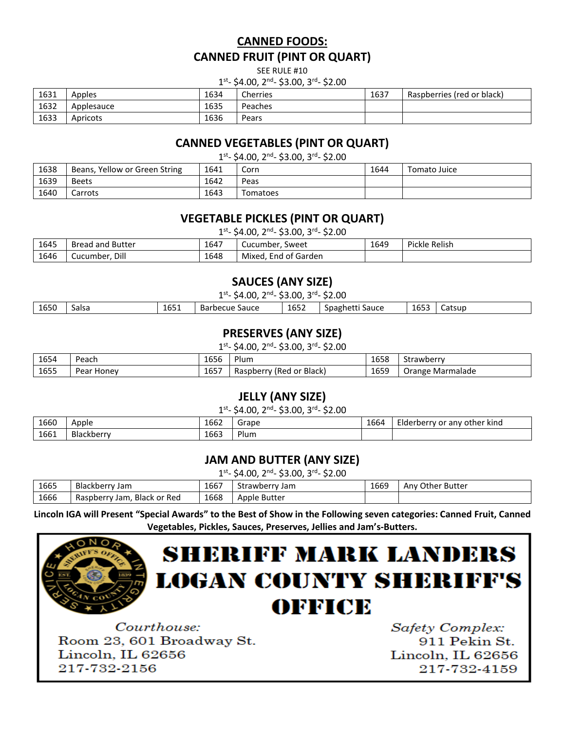# **CANNED FOODS: CANNED FRUIT (PINT OR QUART)**

SEE RULE #10

#### 1<sup>st</sup>- \$4.00, 2<sup>nd</sup>- \$3.00, 3<sup>rd</sup>- \$2.00

| 1631 | Apples     | 1634 | Cherries | 1637 | Raspberries (red or black) |
|------|------------|------|----------|------|----------------------------|
| 1632 | Applesauce | 1635 | Peaches  |      |                            |
| 1633 | Apricots   | 1636 | Pears    |      |                            |

#### **CANNED VEGETABLES (PINT OR QUART)**

1<sup>st</sup>- \$4.00, 2<sup>nd</sup>- \$3.00, 3<sup>rd</sup>- \$2.00

| 1638 | Beans, Yellow or Green String | 1641 | Corn     | 1644 | Tomato Juice |
|------|-------------------------------|------|----------|------|--------------|
| 1639 | <b>Beets</b>                  | 1642 | Peas     |      |              |
| 1640 | Carrots                       | 1643 | Tomatoes |      |              |

## **VEGETABLE PICKLES (PINT OR QUART)**

1<sup>st</sup>- \$4.00, 2<sup>nd</sup>- \$3.00, 3<sup>rd</sup>- \$2.00

| 1645 | <b>Bread and Butter</b> | 1647 | Cucumber, Sweet      | 1649 | Pickle Relish |
|------|-------------------------|------|----------------------|------|---------------|
| 1646 | Dill<br>Cucumber        | 1648 | Mixed, End of Garden |      |               |

## **SAUCES (ANY SIZE)**

1<sup>st</sup>- \$4.00, 2<sup>nd</sup>- \$3.00, 3<sup>rd</sup>- \$2.00

| 1652<br>1650<br>$- - -$<br>$-$<br>Salsa<br>Barbecue<br>Sauce<br>Catsup<br>1655<br>Spagnetti<br>Sauce<br>'n′<br>⊥∪J |
|--------------------------------------------------------------------------------------------------------------------|
|--------------------------------------------------------------------------------------------------------------------|

## **PRESERVES (ANY SIZE)**

1<sup>st</sup>- \$4.00, 2<sup>nd</sup>- \$3.00, 3<sup>rd</sup>- \$2.00

| 1654 | Peach                 | 1656 | Plum                              | $\sim$ $\sim$ $\sim$<br>1658 | Strawberry          |
|------|-----------------------|------|-----------------------------------|------------------------------|---------------------|
| 1655 | Honev<br>محملا<br>edi | 1657 | ' or Black<br>: IRed<br>Raspberry | 1659                         | Marmalade<br>Orange |

#### **JELLY (ANY SIZE)**

1<sup>st</sup>- \$4.00, 2<sup>nd</sup>- \$3.00, 3<sup>rd</sup>- \$2.00

| 1660 | Apple      | 1662 | Grape                             | $\sim$<br>1664 | - -<br>other kind<br>.v or<br>Liderberry -<br>anv |
|------|------------|------|-----------------------------------|----------------|---------------------------------------------------|
| 1661 | Blackberry | 1663 | $\overline{\phantom{0}}$<br>Plum. |                |                                                   |

## **JAM AND BUTTER (ANY SIZE)**

1<sup>st</sup>- \$4.00, 2<sup>nd</sup>- \$3.00, 3<sup>rd</sup>- \$2.00

| 1665 | Blackberry<br>Jam                         | 1667 | . Strawberry Jam | 1669 | Any Other Butter |
|------|-------------------------------------------|------|------------------|------|------------------|
| 1666 | <b>Black or Red</b><br>Raspberry.<br>Jam. | 1668 | Apple Butter     |      |                  |

**Lincoln IGA will Present "Special Awards" to the Best of Show in the Following seven categories: Canned Fruit, Canned Vegetables, Pickles, Sauces, Preserves, Jellies and Jam's-Butters.**



# **SHERIFF MARK LANDERS LOGAN COUNTY SHERIFF'S** OFFICE

Courthouse: Room 23, 601 Broadway St. Lincoln. IL 62656 217-732-2156

Safety Complex: 911 Pekin St. Lincoln, IL 62656 217-732-4159